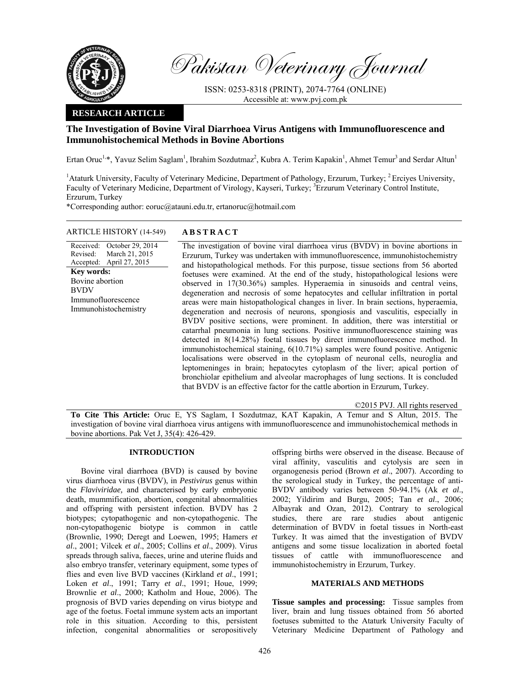

Pakistan Veterinary Journal

ISSN: 0253-8318 (PRINT), 2074-7764 (ONLINE) Accessible at: www.pvj.com.pk

# **RESEARCH ARTICLE**

# **The Investigation of Bovine Viral Diarrhoea Virus Antigens with Immunofluorescence and Immunohistochemical Methods in Bovine Abortions**

Ertan Oruc<sup>1,\*</sup>, Yavuz Selim Saglam<sup>1</sup>, Ibrahim Sozdutmaz<sup>2</sup>, Kubra A. Terim Kapakin<sup>1</sup>, Ahmet Temur<sup>3</sup> and Serdar Altun<sup>1</sup>

<sup>1</sup> Ataturk University, Faculty of Veterinary Medicine, Department of Pathology, Erzurum, Turkey; <sup>2</sup> Erciyes University, Faculty of Veterinary Medicine, Department of Virology, Kayseri, Turkey; <sup>3</sup>Erzurum Veterinary Control Institute, Erzurum, Turkey

\*Corresponding author: eoruc@atauni.edu.tr, ertanoruc@hotmail.com

# ARTICLE HISTORY (14-549) **ABSTRACT**

Received: October 29, 2014 Revised: Accepted: March 21, 2015 April 27, 2015 **Key words:**  Bovine abortion BVDV Immunofluorescence Immunohistochemistry

 The investigation of bovine viral diarrhoea virus (BVDV) in bovine abortions in Erzurum, Turkey was undertaken with immunofluorescence, immunohistochemistry and histopathological methods. For this purpose, tissue sections from 56 aborted foetuses were examined. At the end of the study, histopathological lesions were observed in 17(30.36%) samples. Hyperaemia in sinusoids and central veins, degeneration and necrosis of some hepatocytes and cellular infiltration in portal areas were main histopathological changes in liver. In brain sections, hyperaemia, degeneration and necrosis of neurons, spongiosis and vasculitis, especially in BVDV positive sections, were prominent. In addition, there was interstitial or catarrhal pneumonia in lung sections. Positive immunofluorescence staining was detected in 8(14.28%) foetal tissues by direct immunofluorescence method. In immunohistochemical staining, 6(10.71%) samples were found positive. Antigenic localisations were observed in the cytoplasm of neuronal cells, neuroglia and leptomeninges in brain; hepatocytes cytoplasm of the liver; apical portion of bronchiolar epithelium and alveolar macrophages of lung sections. It is concluded that BVDV is an effective factor for the cattle abortion in Erzurum, Turkey.

©2015 PVJ. All rights reserved

**To Cite This Article:** Oruc E, YS Saglam, I Sozdutmaz, KAT Kapakin, A Temur and S Altun, 2015. The investigation of bovine viral diarrhoea virus antigens with immunofluorescence and immunohistochemical methods in bovine abortions. Pak Vet J, 35(4): 426-429.

# **INTRODUCTION**

Bovine viral diarrhoea (BVD) is caused by bovine virus diarrhoea virus (BVDV), in *Pestivirus* genus within the *Flaviviridae,* and characterised by early embryonic death, mummification, abortion, congenital abnormalities and offspring with persistent infection. BVDV has 2 biotypes; cytopathogenic and non-cytopathogenic. The non-cytopathogenic biotype is common in cattle (Brownlie, 1990; Deregt and Loewen, 1995; Hamers *et al*., 2001; Vilcek *et al*., 2005; Collins *et al*., 2009). Virus spreads through saliva, faeces, urine and uterine fluids and also embryo transfer, veterinary equipment, some types of flies and even live BVD vaccines (Kirkland *et al*., 1991; Loken *et al*., 1991; Tarry *et al*., 1991; Houe, 1999; Brownlie *et al*., 2000; Katholm and Houe, 2006). The prognosis of BVD varies depending on virus biotype and age of the foetus. Foetal immune system acts an important role in this situation. According to this, persistent infection, congenital abnormalities or seropositively

offspring births were observed in the disease. Because of viral affinity, vasculitis and cytolysis are seen in organogenesis period (Brown *et al*., 2007). According to the serological study in Turkey, the percentage of anti-BVDV antibody varies between 50-94.1% (Ak *et al*., 2002; Yildirim and Burgu, 2005; Tan *et al*., 2006; Albayrak and Ozan, 2012). Contrary to serological studies, there are rare studies about antigenic determination of BVDV in foetal tissues in North-east Turkey. It was aimed that the investigation of BVDV antigens and some tissue localization in aborted foetal tissues of cattle with immunofluorescence and immunohistochemistry in Erzurum, Turkey.

# **MATERIALS AND METHODS**

**Tissue samples and processing:** Tissue samples from liver, brain and lung tissues obtained from 56 aborted foetuses submitted to the Ataturk University Faculty of Veterinary Medicine Department of Pathology and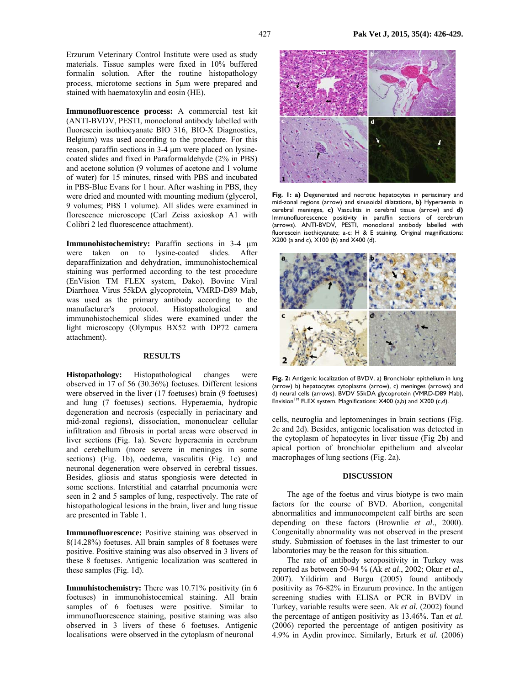Erzurum Veterinary Control Institute were used as study materials. Tissue samples were fixed in 10% buffered formalin solution. After the routine histopathology process, microtome sections in 5µm were prepared and stained with haematoxylin and eosin (HE).

**Immunofluorescence process:** A commercial test kit (ANTI-BVDV, PESTI, monoclonal antibody labelled with fluorescein isothiocyanate BIO 316, BIO-X Diagnostics, Belgium) was used according to the procedure. For this reason, paraffin sections in 3-4 µm were placed on lysinecoated slides and fixed in Paraformaldehyde (2% in PBS) and acetone solution (9 volumes of acetone and 1 volume of water) for 15 minutes, rinsed with PBS and incubated in PBS-Blue Evans for 1 hour. After washing in PBS, they were dried and mounted with mounting medium (glycerol, 9 volumes; PBS 1 volume). All slides were examined in florescence microscope (Carl Zeiss axioskop A1 with Colibri 2 led fluorescence attachment).

**Immunohistochemistry:** Paraffin sections in 3-4  $\mu$ m were taken on to lysine-coated slides. After deparaffinization and dehydration, immunohistochemical staining was performed according to the test procedure (EnVision TM FLEX system, Dako). Bovine Viral Diarrhoea Virus 55kDA glycoprotein, VMRD-D89 Mab, was used as the primary antibody according to the manufacturer's protocol. Histopathological and immunohistochemical slides were examined under the light microscopy (Olympus BX52 with DP72 camera attachment).

### **RESULTS**

**Histopathology:** Histopathological changes were observed in 17 of 56 (30.36%) foetuses. Different lesions were observed in the liver (17 foetuses) brain (9 foetuses) and lung (7 foetuses) sections. Hyperaemia, hydropic degeneration and necrosis (especially in periacinary and mid-zonal regions), dissociation, mononuclear cellular infiltration and fibrosis in portal areas were observed in liver sections (Fig. 1a). Severe hyperaemia in cerebrum and cerebellum (more severe in meninges in some sections) (Fig. 1b), oedema, vasculitis (Fig. 1c) and neuronal degeneration were observed in cerebral tissues. Besides, gliosis and status spongiosis were detected in some sections. Interstitial and catarrhal pneumonia were seen in 2 and 5 samples of lung, respectively. The rate of histopathological lesions in the brain, liver and lung tissue are presented in Table 1.

**Immunofluorescence:** Positive staining was observed in 8(14.28%) foetuses. All brain samples of 8 foetuses were positive. Positive staining was also observed in 3 livers of these 8 foetuses. Antigenic localization was scattered in these samples (Fig. 1d).

**Immuhistochemistry:** There was 10.71% positivity (in 6 foetuses) in immunohistocemical staining. All brain samples of 6 foetuses were positive. Similar to immunofluorescence staining, positive staining was also observed in 3 livers of these 6 foetuses. Antigenic localisations were observed in the cytoplasm of neuronal



**Fig. 1: a)** Degenerated and necrotic hepatocytes in periacinary and mid-zonal regions (arrow) and sinusoidal dilatations, **b)** Hyperaemia in cerebral meninges, **c)** Vasculitis in cerebral tissue (arrow) and **d)**  Immunofluorescence positivity in paraffin sections of cerebrum (arrows). ANTI-BVDV, PESTI, monoclonal antibody labelled with fluorescein isothicyanate; a-c: H & E staining. Original magnifications: X200 (a and c), X100 (b) and X400 (d).



**Fig. 2:** Antigenic localization of BVDV. a) Bronchiolar epithelium in lung (arrow) b) hepatocytes cytoplasms (arrow), c) meninges (arrows) and d) neural cells (arrows). BVDV 55kDA glycoprotein (VMRD-D89 Mab), Envision<sup>TM</sup> FLEX system. Magnifications:  $X400$  (a,b) and  $X200$  (c,d).

cells, neuroglia and leptomeninges in brain sections (Fig. 2c and 2d). Besides, antigenic localisation was detected in the cytoplasm of hepatocytes in liver tissue (Fig 2b) and apical portion of bronchiolar epithelium and alveolar macrophages of lung sections (Fig. 2a).

## **DISCUSSION**

The age of the foetus and virus biotype is two main factors for the course of BVD. Abortion, congenital abnormalities and immunocompetent calf births are seen depending on these factors (Brownlie *et al*., 2000). Congenitally abnormality was not observed in the present study. Submission of foetuses in the last trimester to our laboratories may be the reason for this situation.

The rate of antibody seropositivity in Turkey was reported as between 50-94 % (Ak *et al*., 2002; Okur *et al*., 2007). Yildirim and Burgu (2005) found antibody positivity as 76-82% in Erzurum province. In the antigen screening studies with ELISA or PCR in BVDV in Turkey, variable results were seen. Ak *et al.* (2002) found the percentage of antigen positivity as 13.46%. Tan *et al.* (2006) reported the percentage of antigen positivity as 4.9% in Aydin province. Similarly, Erturk *et al.* (2006)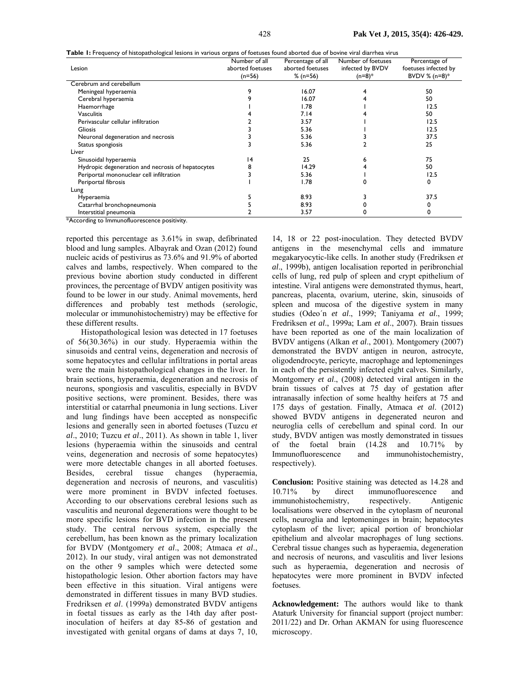| Table 1: Frequency of histopathological lesions in various organs of foetuses found aborted due of bovine viral diarrhea virus |  |  |  |  |  |  |
|--------------------------------------------------------------------------------------------------------------------------------|--|--|--|--|--|--|
|                                                                                                                                |  |  |  |  |  |  |

|                                                   | Number of all    | Percentage of all | Number of foetuses | Percentage of        |  |  |
|---------------------------------------------------|------------------|-------------------|--------------------|----------------------|--|--|
| Lesion                                            | aborted foetuses | aborted foetuses  | infected by BVDV   | foetuses infected by |  |  |
|                                                   | $(n=56)$         | $% (n=56)$        | $(n=8)*$           | BVDV % $(n=8)*$      |  |  |
| Cerebrum and cerebellum                           |                  |                   |                    |                      |  |  |
| Meningeal hyperaemia                              |                  | 16.07             |                    | 50                   |  |  |
| Cerebral hyperaemia                               |                  | 16.07             |                    | 50                   |  |  |
| Haemorrhage                                       |                  | 1.78              |                    | 12.5                 |  |  |
| <b>Vasculitis</b>                                 |                  | 7.14              |                    | 50                   |  |  |
| Perivascular cellular infiltration                |                  | 3.57              |                    | 12.5                 |  |  |
| <b>Gliosis</b>                                    |                  | 5.36              |                    | 12.5                 |  |  |
| Neuronal degeneration and necrosis                |                  | 5.36              |                    | 37.5                 |  |  |
| Status spongiosis                                 |                  | 5.36              |                    | 25                   |  |  |
| Liver                                             |                  |                   |                    |                      |  |  |
| Sinusoidal hyperaemia                             | 14               | 25                |                    | 75                   |  |  |
| Hydropic degeneration and necrosis of hepatocytes |                  | 14.29             |                    | 50                   |  |  |
| Periportal mononuclear cell infiltration          |                  | 5.36              |                    | 12.5                 |  |  |
| Periportal fibrosis                               |                  | 1.78              |                    | 0                    |  |  |
| Lung                                              |                  |                   |                    |                      |  |  |
| <b>Hyperaemia</b>                                 |                  | 8.93              |                    | 37.5                 |  |  |
| Catarrhal bronchopneumonia                        |                  | 8.93              |                    |                      |  |  |
| Interstitial pneumonia<br>.                       |                  | 3.57              | O                  |                      |  |  |

\*According to Immunofluorescence positivity.

reported this percentage as 3.61% in swap, defibrinated blood and lung samples. Albayrak and Ozan (2012) found nucleic acids of pestivirus as 73.6% and 91.9% of aborted calves and lambs, respectively. When compared to the previous bovine abortion study conducted in different provinces, the percentage of BVDV antigen positivity was found to be lower in our study. Animal movements, herd differences and probably test methods (serologic, molecular or immunohistochemistry) may be effective for these different results.

Histopathological lesion was detected in 17 foetuses of 56(30.36%) in our study. Hyperaemia within the sinusoids and central veins, degeneration and necrosis of some hepatocytes and cellular infiltrations in portal areas were the main histopathological changes in the liver. In brain sections, hyperaemia, degeneration and necrosis of neurons, spongiosis and vasculitis, especially in BVDV positive sections, were prominent. Besides, there was interstitial or catarrhal pneumonia in lung sections. Liver and lung findings have been accepted as nonspecific lesions and generally seen in aborted foetuses (Tuzcu *et al*., 2010; Tuzcu *et al*., 2011). As shown in table 1, liver lesions (hyperaemia within the sinusoids and central veins, degeneration and necrosis of some hepatocytes) were more detectable changes in all aborted foetuses. Besides, cerebral tissue changes (hyperaemia, degeneration and necrosis of neurons, and vasculitis) were more prominent in BVDV infected foetuses. According to our observations cerebral lesions such as vasculitis and neuronal degenerations were thought to be more specific lesions for BVD infection in the present study. The central nervous system, especially the cerebellum, has been known as the primary localization for BVDV (Montgomery *et al*., 2008; Atmaca *et al*., 2012). In our study, viral antigen was not demonstrated on the other 9 samples which were detected some histopathologic lesion. Other abortion factors may have been effective in this situation. Viral antigens were demonstrated in different tissues in many BVD studies. Fredriksen *et al*. (1999a) demonstrated BVDV antigens in foetal tissues as early as the 14th day after postinoculation of heifers at day 85-86 of gestation and investigated with genital organs of dams at days 7, 10,

14, 18 or 22 post-inoculation. They detected BVDV antigens in the mesenchymal cells and immature megakaryocytic-like cells. In another study (Fredriksen *et al*., 1999b), antigen localisation reported in peribronchial cells of lung, red pulp of spleen and crypt epithelium of intestine. Viral antigens were demonstrated thymus, heart, pancreas, placenta, ovarium, uterine, skin, sinusoids of spleen and mucosa of the digestive system in many studies (Odeo´n *et al*., 1999; Taniyama *et al*., 1999; Fredriksen *et al*., 1999a; Lam *et al*., 2007). Brain tissues have been reported as one of the main localization of BVDV antigens (Alkan *et al*., 2001). Montgomery (2007) demonstrated the BVDV antigen in neuron, astrocyte, oligodendrocyte, pericyte, macrophage and leptomeninges in each of the persistently infected eight calves. Similarly, Montgomery *et al*., (2008) detected viral antigen in the brain tissues of calves at 75 day of gestation after intranasally infection of some healthy heifers at 75 and 175 days of gestation. Finally, Atmaca *et al*. (2012) showed BVDV antigens in degenerated neuron and neuroglia cells of cerebellum and spinal cord. In our study, BVDV antigen was mostly demonstrated in tissues of the foetal brain (14.28 and 10.71% by Immunofluorescence and immunohistochemistry, respectively).

**Conclusion:** Positive staining was detected as 14.28 and 10.71% by direct immunofluorescence and<br>immunohistochemistry, respectively. Antigenic immunohistochemistry, respectively. Antigenic localisations were observed in the cytoplasm of neuronal cells, neuroglia and leptomeninges in brain; hepatocytes cytoplasm of the liver; apical portion of bronchiolar epithelium and alveolar macrophages of lung sections. Cerebral tissue changes such as hyperaemia, degeneration and necrosis of neurons, and vasculitis and liver lesions such as hyperaemia, degeneration and necrosis of hepatocytes were more prominent in BVDV infected foetuses.

**Acknowledgement:** The authors would like to thank Ataturk University for financial support (project number: 2011/22) and Dr. Orhan AKMAN for using fluorescence microscopy.